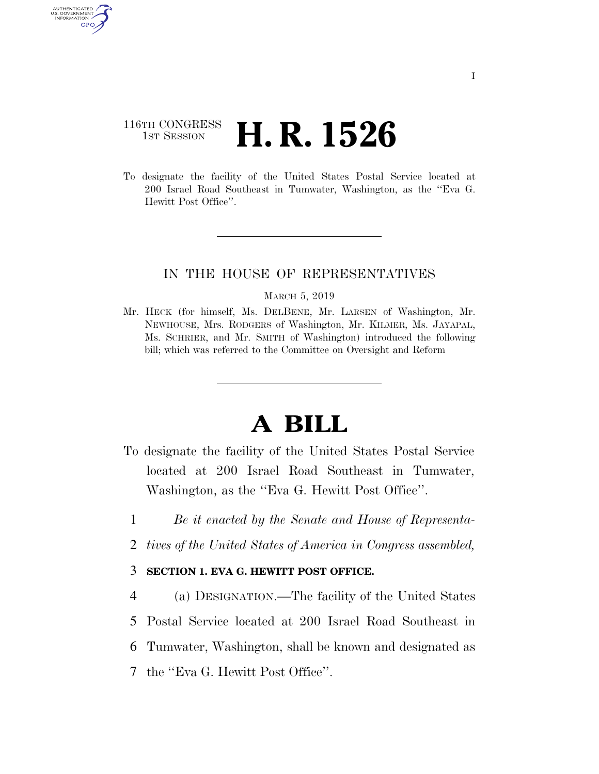# 116TH CONGRESS **1st Session H. R. 1526**

AUTHENTICATED U.S. GOVERNMENT GPO

> To designate the facility of the United States Postal Service located at 200 Israel Road Southeast in Tumwater, Washington, as the ''Eva G. Hewitt Post Office''.

## IN THE HOUSE OF REPRESENTATIVES

#### MARCH 5, 2019

Mr. HECK (for himself, Ms. DELBENE, Mr. LARSEN of Washington, Mr. NEWHOUSE, Mrs. RODGERS of Washington, Mr. KILMER, Ms. JAYAPAL, Ms. SCHRIER, and Mr. SMITH of Washington) introduced the following bill; which was referred to the Committee on Oversight and Reform

# **A BILL**

- To designate the facility of the United States Postal Service located at 200 Israel Road Southeast in Tumwater, Washington, as the ''Eva G. Hewitt Post Office''.
	- 1 *Be it enacted by the Senate and House of Representa-*
- 2 *tives of the United States of America in Congress assembled,*

### 3 **SECTION 1. EVA G. HEWITT POST OFFICE.**

 (a) DESIGNATION.—The facility of the United States Postal Service located at 200 Israel Road Southeast in Tumwater, Washington, shall be known and designated as the ''Eva G. Hewitt Post Office''.